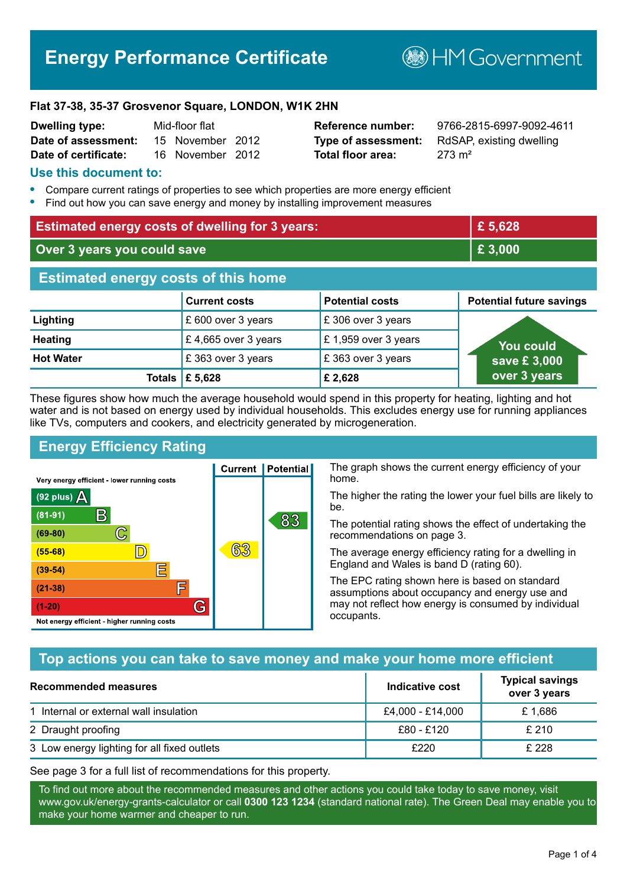# **Energy Performance Certificate**

**B**HM Government

#### **Flat 37-38, 35-37 Grosvenor Square, LONDON, W1K 2HN**

| <b>Dwelling type:</b> | Mid-floor flat |                  |  |
|-----------------------|----------------|------------------|--|
| Date of assessment:   |                | 15 November 2012 |  |
| Date of certificate:  |                | 16 November 2012 |  |

# **Total floor area:** 273 m<sup>2</sup>

**Reference number:** 9766-2815-6997-9092-4611 **Type of assessment:** RdSAP, existing dwelling

#### **Use this document to:**

- **•** Compare current ratings of properties to see which properties are more energy efficient
- **•** Find out how you can save energy and money by installing improvement measures

| <b>Estimated energy costs of dwelling for 3 years:</b> |                           |                        | £ 5,628                         |
|--------------------------------------------------------|---------------------------|------------------------|---------------------------------|
| Over 3 years you could save                            |                           | £3,000                 |                                 |
| <b>Estimated energy costs of this home</b>             |                           |                        |                                 |
|                                                        | <b>Current costs</b>      | <b>Potential costs</b> | <b>Potential future savings</b> |
| Lighting                                               | £ 600 over 3 years        | £306 over 3 years      |                                 |
| <b>Heating</b>                                         | £4,665 over 3 years       | £1,959 over 3 years    | <b>You could</b>                |
| <b>Hot Water</b>                                       | £363 over 3 years         | £363 over 3 years      | save £3,000                     |
|                                                        | Totals $\mathsf{E}$ 5,628 | £ 2,628                | over 3 years                    |

These figures show how much the average household would spend in this property for heating, lighting and hot water and is not based on energy used by individual households. This excludes energy use for running appliances like TVs, computers and cookers, and electricity generated by microgeneration.

**Current | Potential** 

63

# **Energy Efficiency Rating**

 $\mathbb{C}$ 

 $\mathbb{D}$ 

E

肩

G

Very energy efficient - lower running costs

 $\mathsf{R}% _{T}$ 

Not energy efficient - higher running costs

 $(92$  plus)

 $(81 - 91)$ 

 $(69 - 80)$ 

 $(55-68)$ 

 $(39 - 54)$ 

 $(21-38)$ 

 $(1-20)$ 

- 78

The graph shows the current energy efficiency of your home.

The higher the rating the lower your fuel bills are likely to be.

The potential rating shows the effect of undertaking the recommendations on page 3.

The average energy efficiency rating for a dwelling in England and Wales is band D (rating 60).

The EPC rating shown here is based on standard assumptions about occupancy and energy use and may not reflect how energy is consumed by individual occupants.

# **Top actions you can take to save money and make your home more efficient**

83

| <b>Recommended measures</b>                 | Indicative cost  | <b>Typical savings</b><br>over 3 years |
|---------------------------------------------|------------------|----------------------------------------|
| 1 Internal or external wall insulation      | £4,000 - £14,000 | £1.686                                 |
| 2 Draught proofing                          | £80 - £120       | £210                                   |
| 3 Low energy lighting for all fixed outlets | £220             | £ 228                                  |

See page 3 for a full list of recommendations for this property.

To find out more about the recommended measures and other actions you could take today to save money, visit www.gov.uk/energy-grants-calculator or call **0300 123 1234** (standard national rate). The Green Deal may enable you to make your home warmer and cheaper to run.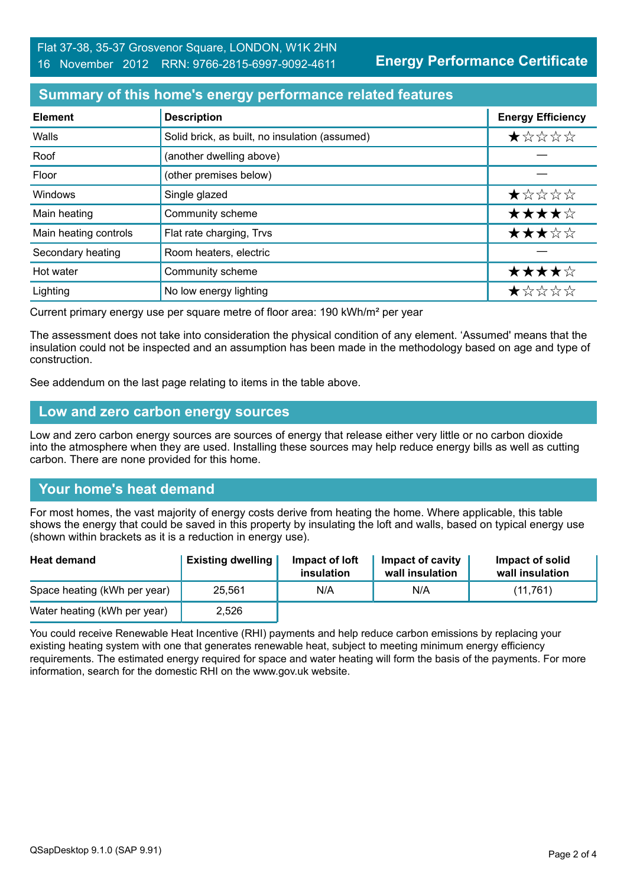**Energy Performance Certificate**

## **Summary of this home's energy performance related features**

| <b>Element</b>        | <b>Description</b>                             | <b>Energy Efficiency</b> |
|-----------------------|------------------------------------------------|--------------------------|
| Walls                 | Solid brick, as built, no insulation (assumed) | $\star$ * * * *          |
| Roof                  | (another dwelling above)                       |                          |
| Floor                 | (other premises below)                         |                          |
| Windows               | Single glazed                                  | ★☆☆☆☆                    |
| Main heating          | Community scheme                               | ★★★★☆                    |
| Main heating controls | Flat rate charging, Trvs                       | ★★★☆☆                    |
| Secondary heating     | Room heaters, electric                         |                          |
| Hot water             | Community scheme                               | ★★★★☆                    |
| Lighting              | No low energy lighting                         | *****                    |

Current primary energy use per square metre of floor area: 190 kWh/m² per year

The assessment does not take into consideration the physical condition of any element. 'Assumed' means that the insulation could not be inspected and an assumption has been made in the methodology based on age and type of construction.

See addendum on the last page relating to items in the table above.

#### **Low and zero carbon energy sources**

Low and zero carbon energy sources are sources of energy that release either very little or no carbon dioxide into the atmosphere when they are used. Installing these sources may help reduce energy bills as well as cutting carbon. There are none provided for this home.

# **Your home's heat demand**

For most homes, the vast majority of energy costs derive from heating the home. Where applicable, this table shows the energy that could be saved in this property by insulating the loft and walls, based on typical energy use (shown within brackets as it is a reduction in energy use).

| <b>Heat demand</b>           | <b>Existing dwelling</b> | Impact of loft<br>insulation | Impact of cavity<br>wall insulation | Impact of solid<br>wall insulation |
|------------------------------|--------------------------|------------------------------|-------------------------------------|------------------------------------|
| Space heating (kWh per year) | 25,561                   | N/A                          | N/A                                 | (11,761)                           |
| Water heating (kWh per year) | 2,526                    |                              |                                     |                                    |

You could receive Renewable Heat Incentive (RHI) payments and help reduce carbon emissions by replacing your existing heating system with one that generates renewable heat, subject to meeting minimum energy efficiency requirements. The estimated energy required for space and water heating will form the basis of the payments. For more information, search for the domestic RHI on the www.gov.uk website.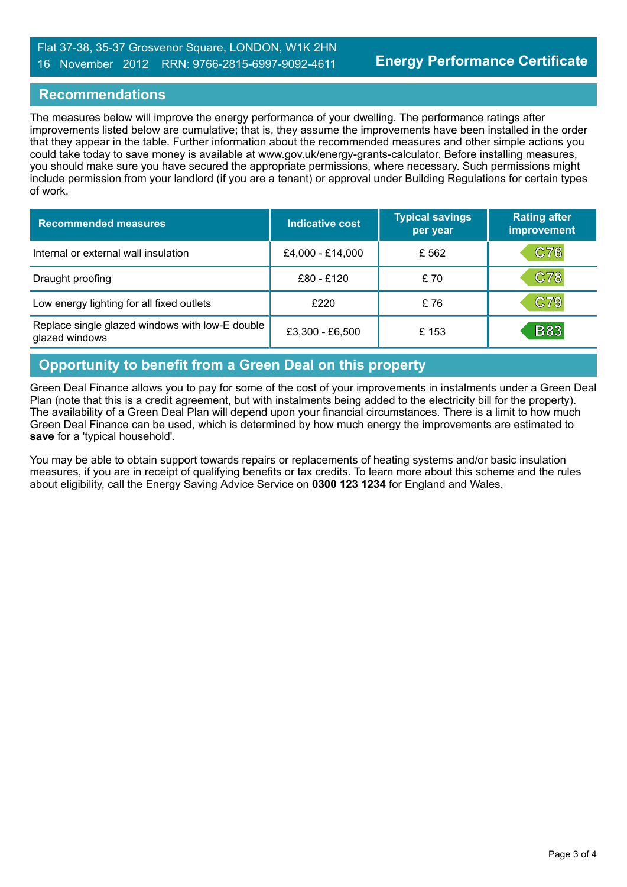#### Flat 37-38, 35-37 Grosvenor Square, LONDON, W1K 2HN 16 November 2012 RRN: 9766-2815-6997-9092-4611

## **Recommendations**

The measures below will improve the energy performance of your dwelling. The performance ratings after improvements listed below are cumulative; that is, they assume the improvements have been installed in the order that they appear in the table. Further information about the recommended measures and other simple actions you could take today to save money is available at www.gov.uk/energy-grants-calculator. Before installing measures, you should make sure you have secured the appropriate permissions, where necessary. Such permissions might include permission from your landlord (if you are a tenant) or approval under Building Regulations for certain types of work.

| <b>Recommended measures</b>                                       | Indicative cost  | <b>Typical savings</b><br>per year | <b>Rating after</b><br>improvement |
|-------------------------------------------------------------------|------------------|------------------------------------|------------------------------------|
| Internal or external wall insulation                              | £4,000 - £14,000 | £ 562                              | C76                                |
| Draught proofing                                                  | £80 - £120       | £70                                | C78                                |
| Low energy lighting for all fixed outlets                         | £220             | £76                                | C79                                |
| Replace single glazed windows with low-E double<br>glazed windows | £3,300 - £6,500  | £153                               | <b>B83</b>                         |

# **Opportunity to benefit from a Green Deal on this property**

Green Deal Finance allows you to pay for some of the cost of your improvements in instalments under a Green Deal Plan (note that this is a credit agreement, but with instalments being added to the electricity bill for the property). The availability of a Green Deal Plan will depend upon your financial circumstances. There is a limit to how much Green Deal Finance can be used, which is determined by how much energy the improvements are estimated to **save** for a 'typical household'.

You may be able to obtain support towards repairs or replacements of heating systems and/or basic insulation measures, if you are in receipt of qualifying benefits or tax credits. To learn more about this scheme and the rules about eligibility, call the Energy Saving Advice Service on **0300 123 1234** for England and Wales.